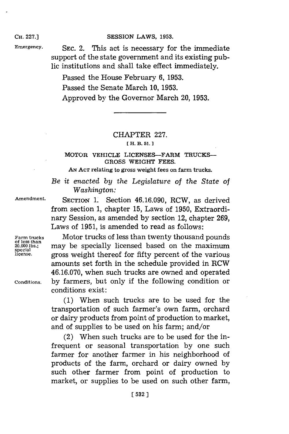## **CH. 227.] SESSION LAWS, 1953.**

Emergency. SEC. 2. This act is necessary for the immediate support of the state government and its existing public institutions and shall take effect immediately.

> Passed the House February **6, 1953.** Passed the Senate March **10, 1953.** Approved **by** the Governor March 20, **1953.**

## CHAPTER **227.**

## **[H. B. 51.1**

## **MOTOR VEHICLE LICENSES-FARM TRUCKS-GROSS WEIGHT FEES.**

**AN ACT relating to gross weight fees on farm trucks.**

*Be it enacted by the Legislature of the State of Washington:*

**Amendment. SECTION 1.** Section 46.16.090, RCW, as derived

from section **1,** chapter **15,** Laws of **1950,** Extraordinary Session, as amended **by** section 12, chapter **269,** Laws of **1951,** is amended to read as follows:

**special**

Farm trucks **Motor trucks of less than twenty thousand pounds**<br>
<sup>of less than</sup><br>
<sup>20,000 lbs.; may be specially licensed based on the maximum</sup> may be specially licensed based on the maximum **license,** gross weight thereof for fifty percent of the various amounts set forth in the schedule provided in RCW **46.16.070,** when such trucks are owned and operated **Conditions, by** farmers, but only if the following condition or conditions exist:

> **(1)** When such trucks are to be used for the transportation of such farmer's own farm, orchard or dairy products from point of production to market, and of supplies to be used on his farm; and/or

> (2) When such trucks are to be used for the infrequent or seasonal transportation **by** one such farmer for another farmer in his neighborhood of products of the farm, orchard or dairy owned **by** such other farmer from point of production to market, or supplies to be used on such other farm,